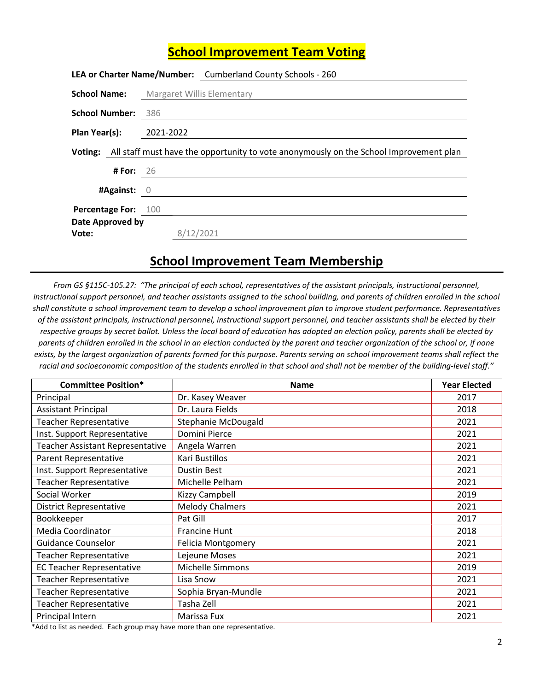## School Improvement Team Voting

|                            | LEA or Charter Name/Number: Cumberland County Schools - 260                                    |
|----------------------------|------------------------------------------------------------------------------------------------|
| <b>School Name:</b>        | Margaret Willis Elementary                                                                     |
| <b>School Number:</b>      | - 386                                                                                          |
| Plan Year(s):              | 2021-2022                                                                                      |
|                            | Voting: All staff must have the opportunity to vote anonymously on the School Improvement plan |
| <b>#For:</b> 26            |                                                                                                |
| #Against: 0                |                                                                                                |
| <b>Percentage For: 100</b> |                                                                                                |
| Date Approved by           |                                                                                                |
| Vote:                      | 8/12/2021                                                                                      |

## School Improvement Team Membership

From GS §115C-105.27: "The principal of each school, representatives of the assistant principals, instructional personnel, instructional support personnel, and teacher assistants assigned to the school building, and parents of children enrolled in the school shall constitute a school improvement team to develop a school improvement plan to improve student performance. Representatives of the assistant principals, instructional personnel, instructional support personnel, and teacher assistants shall be elected by their respective groups by secret ballot. Unless the local board of education has adopted an election policy, parents shall be elected by parents of children enrolled in the school in an election conducted by the parent and teacher organization of the school or, if none exists, by the largest organization of parents formed for this purpose. Parents serving on school improvement teams shall reflect the racial and socioeconomic composition of the students enrolled in that school and shall not be member of the building-level staff."

| <b>Committee Position*</b>              | <b>Name</b>               | <b>Year Elected</b> |
|-----------------------------------------|---------------------------|---------------------|
| Principal                               | Dr. Kasey Weaver          | 2017                |
| <b>Assistant Principal</b>              | Dr. Laura Fields          | 2018                |
| <b>Teacher Representative</b>           | Stephanie McDougald       | 2021                |
| Inst. Support Representative            | Domini Pierce             | 2021                |
| <b>Teacher Assistant Representative</b> | Angela Warren             | 2021                |
| Parent Representative                   | Kari Bustillos            | 2021                |
| Inst. Support Representative            | <b>Dustin Best</b>        | 2021                |
| <b>Teacher Representative</b>           | Michelle Pelham           | 2021                |
| Social Worker                           | Kizzy Campbell            | 2019                |
| <b>District Representative</b>          | <b>Melody Chalmers</b>    | 2021                |
| Bookkeeper                              | Pat Gill                  | 2017                |
| Media Coordinator                       | <b>Francine Hunt</b>      | 2018                |
| Guidance Counselor                      | <b>Felicia Montgomery</b> | 2021                |
| <b>Teacher Representative</b>           | Lejeune Moses             | 2021                |
| <b>EC Teacher Representative</b>        | <b>Michelle Simmons</b>   | 2019                |
| <b>Teacher Representative</b>           | Lisa Snow                 | 2021                |
| <b>Teacher Representative</b>           | Sophia Bryan-Mundle       | 2021                |
| <b>Teacher Representative</b>           | Tasha Zell                | 2021                |
| Principal Intern                        | Marissa Fux               | 2021                |

\*Add to list as needed. Each group may have more than one representative.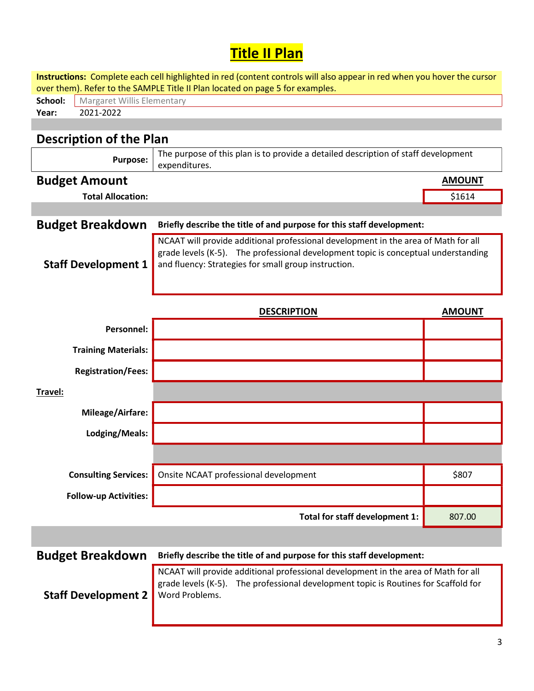## Title II Plan

| Instructions: Complete each cell highlighted in red (content controls will also appear in red when you hover the cursor<br>over them). Refer to the SAMPLE Title II Plan located on page 5 for examples. |                                                                                                                                                                                                                                  |               |  |  |  |
|----------------------------------------------------------------------------------------------------------------------------------------------------------------------------------------------------------|----------------------------------------------------------------------------------------------------------------------------------------------------------------------------------------------------------------------------------|---------------|--|--|--|
| School:                                                                                                                                                                                                  | Margaret Willis Elementary                                                                                                                                                                                                       |               |  |  |  |
| 2021-2022<br>Year:                                                                                                                                                                                       |                                                                                                                                                                                                                                  |               |  |  |  |
|                                                                                                                                                                                                          |                                                                                                                                                                                                                                  |               |  |  |  |
| <b>Description of the Plan</b>                                                                                                                                                                           |                                                                                                                                                                                                                                  |               |  |  |  |
| <b>Purpose:</b>                                                                                                                                                                                          | The purpose of this plan is to provide a detailed description of staff development<br>expenditures.                                                                                                                              |               |  |  |  |
| <b>Budget Amount</b>                                                                                                                                                                                     |                                                                                                                                                                                                                                  | <b>AMOUNT</b> |  |  |  |
| <b>Total Allocation:</b>                                                                                                                                                                                 |                                                                                                                                                                                                                                  | \$1614        |  |  |  |
|                                                                                                                                                                                                          |                                                                                                                                                                                                                                  |               |  |  |  |
| <b>Budget Breakdown</b>                                                                                                                                                                                  | Briefly describe the title of and purpose for this staff development:                                                                                                                                                            |               |  |  |  |
| <b>Staff Development 1</b>                                                                                                                                                                               | NCAAT will provide additional professional development in the area of Math for all<br>grade levels (K-5). The professional development topic is conceptual understanding<br>and fluency: Strategies for small group instruction. |               |  |  |  |
|                                                                                                                                                                                                          | <b>DESCRIPTION</b>                                                                                                                                                                                                               | <b>AMOUNT</b> |  |  |  |
| Personnel:                                                                                                                                                                                               |                                                                                                                                                                                                                                  |               |  |  |  |
| <b>Training Materials:</b>                                                                                                                                                                               |                                                                                                                                                                                                                                  |               |  |  |  |
| <b>Registration/Fees:</b>                                                                                                                                                                                |                                                                                                                                                                                                                                  |               |  |  |  |
| Travel:                                                                                                                                                                                                  |                                                                                                                                                                                                                                  |               |  |  |  |
| Mileage/Airfare:                                                                                                                                                                                         |                                                                                                                                                                                                                                  |               |  |  |  |
| Lodging/Meals:                                                                                                                                                                                           |                                                                                                                                                                                                                                  |               |  |  |  |
|                                                                                                                                                                                                          |                                                                                                                                                                                                                                  |               |  |  |  |
|                                                                                                                                                                                                          |                                                                                                                                                                                                                                  |               |  |  |  |
| <b>Consulting Services:</b>                                                                                                                                                                              | Onsite NCAAT professional development                                                                                                                                                                                            | \$807         |  |  |  |
| <b>Follow-up Activities:</b>                                                                                                                                                                             |                                                                                                                                                                                                                                  |               |  |  |  |
|                                                                                                                                                                                                          | Total for staff development 1:                                                                                                                                                                                                   | 807.00        |  |  |  |
|                                                                                                                                                                                                          |                                                                                                                                                                                                                                  |               |  |  |  |
| <b>Budget Breakdown</b>                                                                                                                                                                                  | Briefly describe the title of and purpose for this staff development:                                                                                                                                                            |               |  |  |  |
| <b>Staff Development 2</b>                                                                                                                                                                               | NCAAT will provide additional professional development in the area of Math for all<br>The professional development topic is Routines for Scaffold for<br>grade levels (K-5).<br>Word Problems.                                   |               |  |  |  |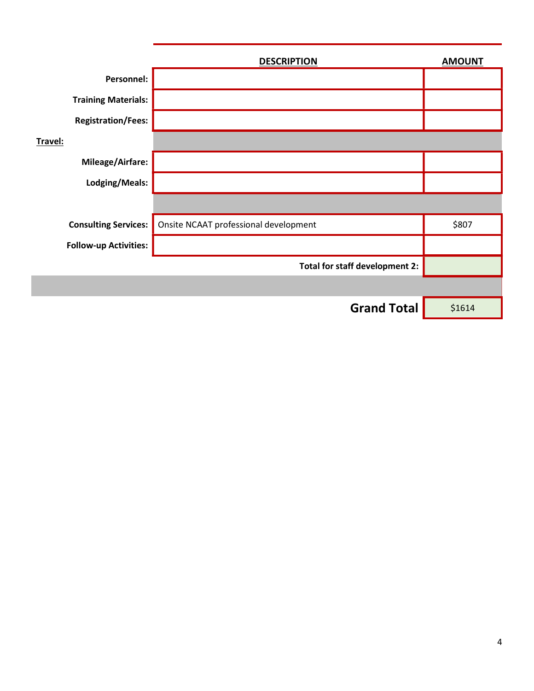|                              | <b>DESCRIPTION</b>                    | <b>AMOUNT</b> |
|------------------------------|---------------------------------------|---------------|
| Personnel:                   |                                       |               |
| <b>Training Materials:</b>   |                                       |               |
| <b>Registration/Fees:</b>    |                                       |               |
| Travel:                      |                                       |               |
| Mileage/Airfare:             |                                       |               |
| Lodging/Meals:               |                                       |               |
|                              |                                       |               |
| <b>Consulting Services:</b>  | Onsite NCAAT professional development | \$807         |
| <b>Follow-up Activities:</b> |                                       |               |
|                              | Total for staff development 2:        |               |
|                              |                                       |               |
|                              | <b>Grand Total</b>                    | \$1614        |